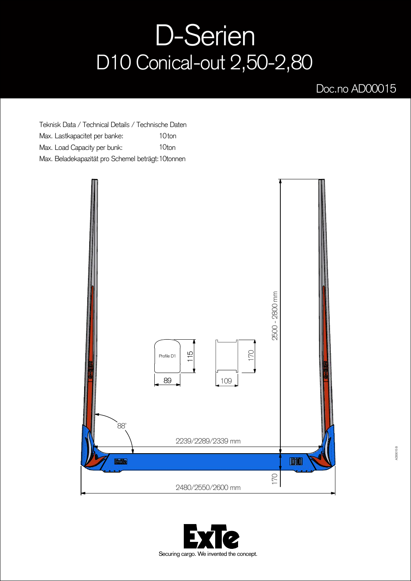## D-Serien D10 Conical-out 2,50-2,80

## Doc.no AD00015

Teknisk Data / Technical Details / Technische Daten Max. Lastkapacitet per banke: Max. Load Capacity per bunk: Max. Beladekapazität pro Schemel beträgt: 1 Otonnen 10<sub>ton</sub> 10ton